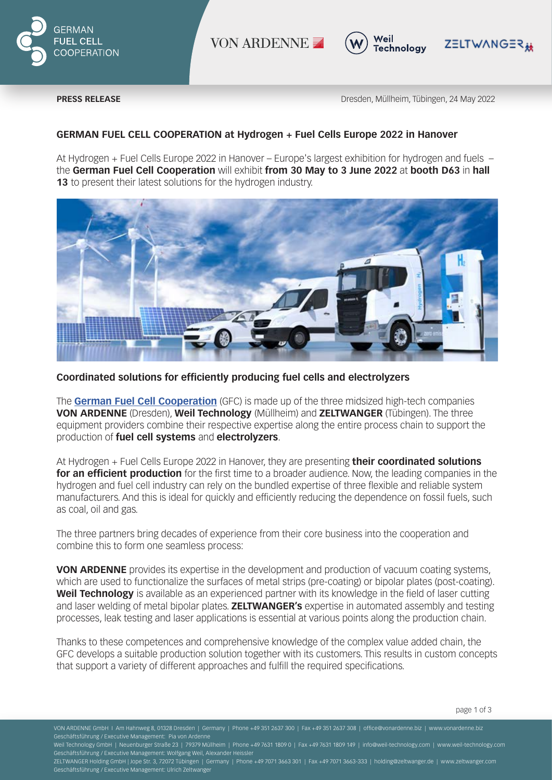

VON ARDENNE .



**PRESS RELEASE** Dresden, Müllheim, Tübingen, 24 May 2022

Z≣LTW∧NG≣R<sub>赫</sub>

# **GERMAN FUEL CELL COOPERATION at Hydrogen + Fuel Cells Europe 2022 in Hanover**

At Hydrogen + Fuel Cells Europe 2022 in Hanover – Europe's largest exhibition for hydrogen and fuels – the **German Fuel Cell Cooperation** will exhibit **from 30 May to 3 June 2022** at **booth D63** in **hall 13** to present their latest solutions for the hydrogen industry.



## **Coordinated solutions for efficiently producing fuel cells and electrolyzers**

The **German Fuel Cell Cooperation** (GFC) is made up of the three midsized high-tech companies **VON ARDENNE** (Dresden), **Weil Technology** (Müllheim) and **ZELTWANGER** (Tübingen). The three equipment providers combine their respective expertise along the entire process chain to support the production of **fuel cell systems** and **electrolyzers**.

At Hydrogen + Fuel Cells Europe 2022 in Hanover, they are presenting **their coordinated solutions for an efficient production** for the first time to a broader audience. Now, the leading companies in the hydrogen and fuel cell industry can rely on the bundled expertise of three flexible and reliable system manufacturers. And this is ideal for quickly and efficiently reducing the dependence on fossil fuels, such as coal, oil and gas.

The three partners bring decades of experience from their core business into the cooperation and combine this to form one seamless process:

**VON ARDENNE** provides its expertise in the development and production of vacuum coating systems, which are used to functionalize the surfaces of metal strips (pre-coating) or bipolar plates (post-coating). **Weil Technology** is available as an experienced partner with its knowledge in the field of laser cutting and laser welding of metal bipolar plates. **ZELTWANGER's** expertise in automated assembly and testing processes, leak testing and laser applications is essential at various points along the production chain.

Thanks to these competences and comprehensive knowledge of the complex value added chain, the GFC develops a suitable production solution together with its customers. This results in custom concepts that support a variety of different approaches and fulfill the required specifications.

ZELTWANGER Holding GmbH | Jope Str. 3, 72072 Tübingen | Germany | Phone +49 7071 3663 301 | Fax +49 7071 3663-333 | holding@zeltwanger.de | www.zeltwanger.com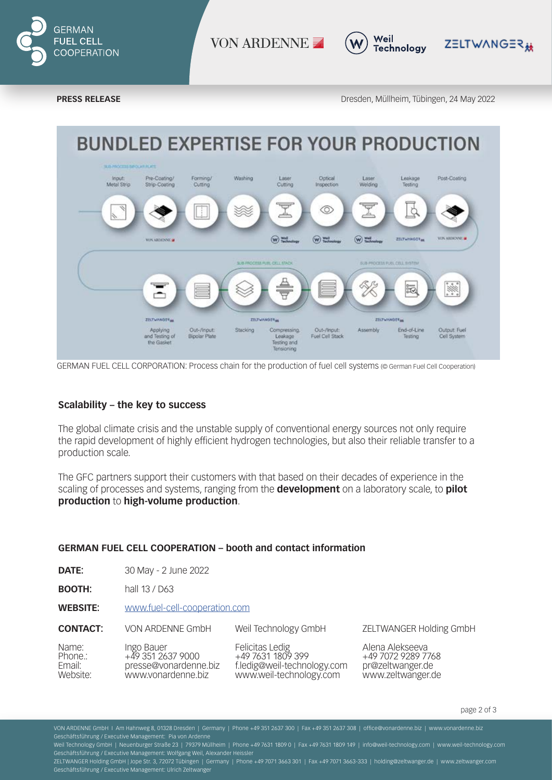

VON ARDENNE .



**PRESS RELEASE** Dresden, Müllheim, Tübingen, 24 May 2022

ZELTWANGER#



GERMAN FUEL CELL CORPORATION: Process chain for the production of fuel cell systems (© German Fuel Cell Cooperation)

### **Scalability – the key to success**

The global climate crisis and the unstable supply of conventional energy sources not only require the rapid development of highly efficient hydrogen technologies, but also their reliable transfer to a production scale.

The GFC partners support their customers with that based on their decades of experience in the scaling of processes and systems, ranging from the **development** on a laboratory scale, to **pilot production** to **high-volume production**.

## **GERMAN FUEL CELL COOPERATION – booth and contact information**

**DATE:** 30 May - 2 June 2022

**BOOTH:** hall 13 / D63

**WEBSITE:** www.fuel-cell-cooperation.com

**CONTACT:** VON ARDENNE GmbH Weil Technology GmbH

| Name:    | Ingo Bauer            | Felicitas Ledig             | Alena Alel |
|----------|-----------------------|-----------------------------|------------|
| Phone.:  | +49 351 2637 9000     | +49 7631 1809 399           | +49 7072 ' |
| Email:   | presse@vonardenne.biz | f.ledig@weil-technology.com | pr@zeltwa  |
| Website: | www.vonardenne.biz    | www.weil-technology.com     | www.zelty  |
|          |                       |                             |            |

ZELTWANGER Holding GmbH

kseeva 9289 7768 anger.de wanger.de

page 2 of 3

VON ARDENNE GmbH I Am Hahnweg 8, 01328 Dresden | Germany | Phone +49 351 2637 300 | Fax +49 351 2637 308 | office@vonardenne.biz | www.vonardenne.biz Geschäftsführung / Executive Management: Pia von Ardenne

ZELTWANGER Holding GmbH | Jope Str. 3, 72072 Tübingen | Germany | Phone +49 7071 3663 301 | Fax +49 7071 3663-333 | holding@zeltwanger.de | www.zeltwanger.com Geschäftsführung / Executive Management: Ulrich Zeltwanger

Weil Technology GmbH | Neuenburger Straße 23 | 79379 Müllheim | Phone +49 7631 1809 0 | Fax +49 7631 1809 149 | info@weil-technology.com | www.weil-technology.com Geschäftsführung / Executive Management: Wolfgang Weil, Alexander Heissler